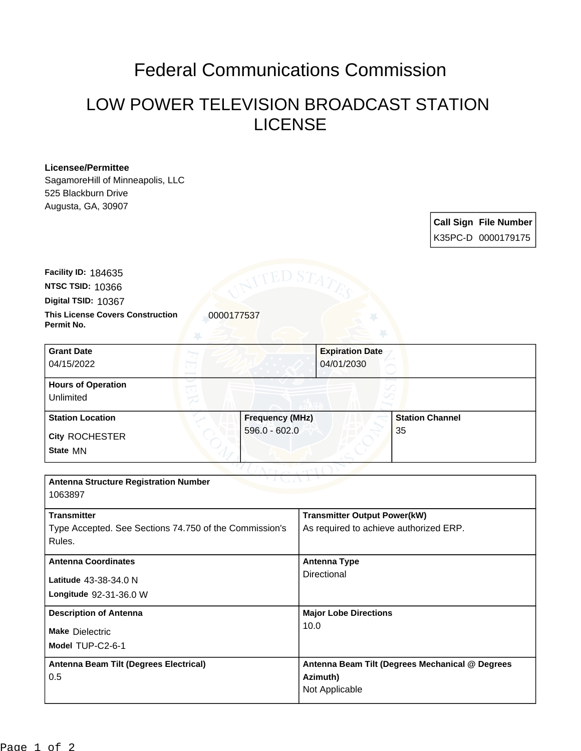## Federal Communications Commission

## LOW POWER TELEVISION BROADCAST STATION LICENSE

## **Licensee/Permittee**

SagamoreHill of Minneapolis, LLC 525 Blackburn Drive Augusta, GA, 30907

> **Call Sign File Number** K35PC-D 0000179175

**This License Covers Construction**  0000177537 **Permit No. Digital TSID:** 10367 **NTSC TSID:** 10366 **Facility ID:** 184635

| <b>Grant Date</b><br>04/15/2022        | <b>Expiration Date</b><br>04/01/2030 |                        |
|----------------------------------------|--------------------------------------|------------------------|
| <b>Hours of Operation</b><br>Unlimited |                                      |                        |
| <b>Station Location</b>                | <b>Frequency (MHz)</b>               | <b>Station Channel</b> |
| <b>City ROCHESTER</b><br>State MN      | $596.0 - 602.0$                      | 35                     |

| <b>Antenna Structure Registration Number</b><br>1063897 |  |  |  |
|---------------------------------------------------------|--|--|--|
|                                                         |  |  |  |
| <b>Transmitter Output Power(kW)</b>                     |  |  |  |
| As required to achieve authorized ERP.                  |  |  |  |
|                                                         |  |  |  |
| Antenna Type                                            |  |  |  |
| Directional                                             |  |  |  |
|                                                         |  |  |  |
| <b>Major Lobe Directions</b>                            |  |  |  |
| 10.0                                                    |  |  |  |
|                                                         |  |  |  |
| Antenna Beam Tilt (Degrees Mechanical @ Degrees         |  |  |  |
| Azimuth)                                                |  |  |  |
| Not Applicable                                          |  |  |  |
|                                                         |  |  |  |